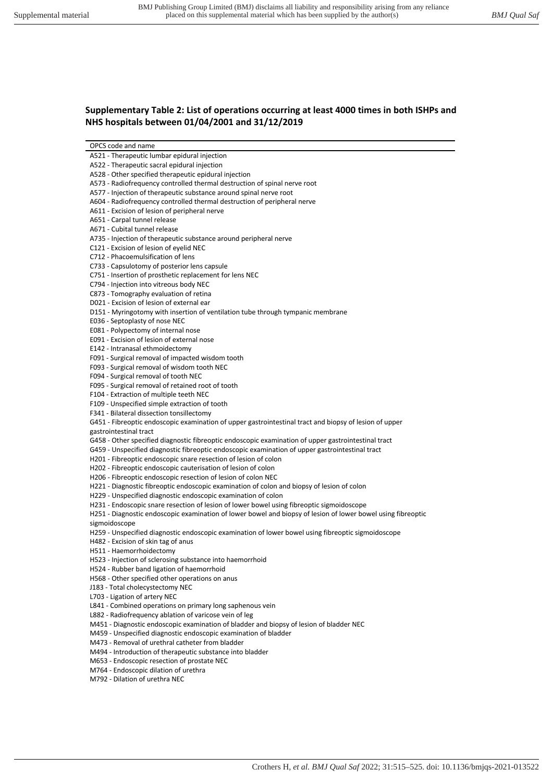## **Supplementary Table 2: List of operations occurring at least 4000 times in both ISHPs and NHS hospitals between 01/04/2001 and 31/12/2019**

A521 - Therapeutic lumbar epidural injection

- A522 Therapeutic sacral epidural injection
- A528 Other specified therapeutic epidural injection
- A573 Radiofrequency controlled thermal destruction of spinal nerve root
- A577 Injection of therapeutic substance around spinal nerve root
- A604 Radiofrequency controlled thermal destruction of peripheral nerve
- A611 Excision of lesion of peripheral nerve
- A651 Carpal tunnel release
- A671 Cubital tunnel release
- A735 Injection of therapeutic substance around peripheral nerve

C121 - Excision of lesion of eyelid NEC

- C712 Phacoemulsification of lens
- C733 Capsulotomy of posterior lens capsule
- C751 Insertion of prosthetic replacement for lens NEC

C794 - Injection into vitreous body NEC

- C873 Tomography evaluation of retina
- D021 Excision of lesion of external ear
- D151 Myringotomy with insertion of ventilation tube through tympanic membrane
- E036 Septoplasty of nose NEC
- E081 Polypectomy of internal nose
- E091 Excision of lesion of external nose
- E142 Intranasal ethmoidectomy
- F091 Surgical removal of impacted wisdom tooth
- F093 Surgical removal of wisdom tooth NEC
- F094 Surgical removal of tooth NEC
- F095 Surgical removal of retained root of tooth
- F104 Extraction of multiple teeth NEC
- F109 Unspecified simple extraction of tooth
- F341 Bilateral dissection tonsillectomy

G451 - Fibreoptic endoscopic examination of upper gastrointestinal tract and biopsy of lesion of upper gastrointestinal tract

- G458 Other specified diagnostic fibreoptic endoscopic examination of upper gastrointestinal tract
- G459 Unspecified diagnostic fibreoptic endoscopic examination of upper gastrointestinal tract
- H201 Fibreoptic endoscopic snare resection of lesion of colon
- H202 Fibreoptic endoscopic cauterisation of lesion of colon
- H206 Fibreoptic endoscopic resection of lesion of colon NEC
- H221 Diagnostic fibreoptic endoscopic examination of colon and biopsy of lesion of colon
- H229 Unspecified diagnostic endoscopic examination of colon
- H231 Endoscopic snare resection of lesion of lower bowel using fibreoptic sigmoidoscope
- H251 Diagnostic endoscopic examination of lower bowel and biopsy of lesion of lower bowel using fibreoptic sigmoidoscope
- H259 Unspecified diagnostic endoscopic examination of lower bowel using fibreoptic sigmoidoscope
- H482 Excision of skin tag of anus
- H511 Haemorrhoidectomy
- H523 Injection of sclerosing substance into haemorrhoid
- H524 Rubber band ligation of haemorrhoid
- H568 Other specified other operations on anus
- J183 Total cholecystectomy NEC
- L703 Ligation of artery NEC
- L841 Combined operations on primary long saphenous vein
- L882 Radiofrequency ablation of varicose vein of leg
- M451 Diagnostic endoscopic examination of bladder and biopsy of lesion of bladder NEC
- M459 Unspecified diagnostic endoscopic examination of bladder
- M473 Removal of urethral catheter from bladder
- M494 Introduction of therapeutic substance into bladder
- M653 Endoscopic resection of prostate NEC
- M764 Endoscopic dilation of urethra
- M792 Dilation of urethra NEC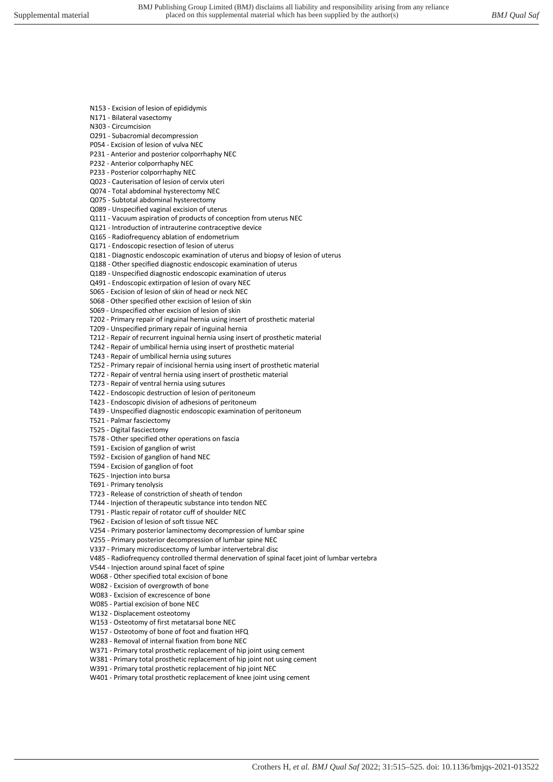- N153 Excision of lesion of epididymis
- N171 Bilateral vasectomy
- N303 Circumcision
- O291 Subacromial decompression
- P054 Excision of lesion of vulva NEC
- P231 Anterior and posterior colporrhaphy NEC
- P232 Anterior colporrhaphy NEC
- P233 Posterior colporrhaphy NEC
- Q023 Cauterisation of lesion of cervix uteri
- Q074 Total abdominal hysterectomy NEC Q075 - Subtotal abdominal hysterectomy
- Q089 Unspecified vaginal excision of uterus
- Q111 Vacuum aspiration of products of conception from uterus NEC
- Q121 Introduction of intrauterine contraceptive device
- Q165 Radiofrequency ablation of endometrium
- Q171 Endoscopic resection of lesion of uterus
- Q181 Diagnostic endoscopic examination of uterus and biopsy of lesion of uterus
- Q188 Other specified diagnostic endoscopic examination of uterus
- Q189 Unspecified diagnostic endoscopic examination of uterus
- Q491 Endoscopic extirpation of lesion of ovary NEC
- S065 Excision of lesion of skin of head or neck NEC
- S068 Other specified other excision of lesion of skin
- S069 Unspecified other excision of lesion of skin
- T202 Primary repair of inguinal hernia using insert of prosthetic material
- T209 Unspecified primary repair of inguinal hernia
- T212 Repair of recurrent inguinal hernia using insert of prosthetic material
- T242 Repair of umbilical hernia using insert of prosthetic material
- T243 Repair of umbilical hernia using sutures
- T252 Primary repair of incisional hernia using insert of prosthetic material
- T272 Repair of ventral hernia using insert of prosthetic material
- T273 Repair of ventral hernia using sutures
- T422 Endoscopic destruction of lesion of peritoneum
- T423 Endoscopic division of adhesions of peritoneum
- T439 Unspecified diagnostic endoscopic examination of peritoneum
- T521 Palmar fasciectomy
- T525 Digital fasciectomy
- T578 Other specified other operations on fascia
- T591 Excision of ganglion of wrist
- T592 Excision of ganglion of hand NEC
- T594 Excision of ganglion of foot
- T625 Injection into bursa
- T691 Primary tenolysis
- T723 Release of constriction of sheath of tendon
- T744 Injection of therapeutic substance into tendon NEC
- T791 Plastic repair of rotator cuff of shoulder NEC
- T962 Excision of lesion of soft tissue NEC
- V254 Primary posterior laminectomy decompression of lumbar spine
- V255 Primary posterior decompression of lumbar spine NEC
- V337 Primary microdiscectomy of lumbar intervertebral disc
- V485 Radiofrequency controlled thermal denervation of spinal facet joint of lumbar vertebra
- V544 Injection around spinal facet of spine
- W068 Other specified total excision of bone
- W082 Excision of overgrowth of bone
- W083 Excision of excrescence of bone
- W085 Partial excision of bone NEC
- W132 Displacement osteotomy
- W153 Osteotomy of first metatarsal bone NEC
- W157 Osteotomy of bone of foot and fixation HFQ
- W283 Removal of internal fixation from bone NEC
- W371 Primary total prosthetic replacement of hip joint using cement
- W381 Primary total prosthetic replacement of hip joint not using cement
- W391 Primary total prosthetic replacement of hip joint NEC W401 - Primary total prosthetic replacement of knee joint using cement